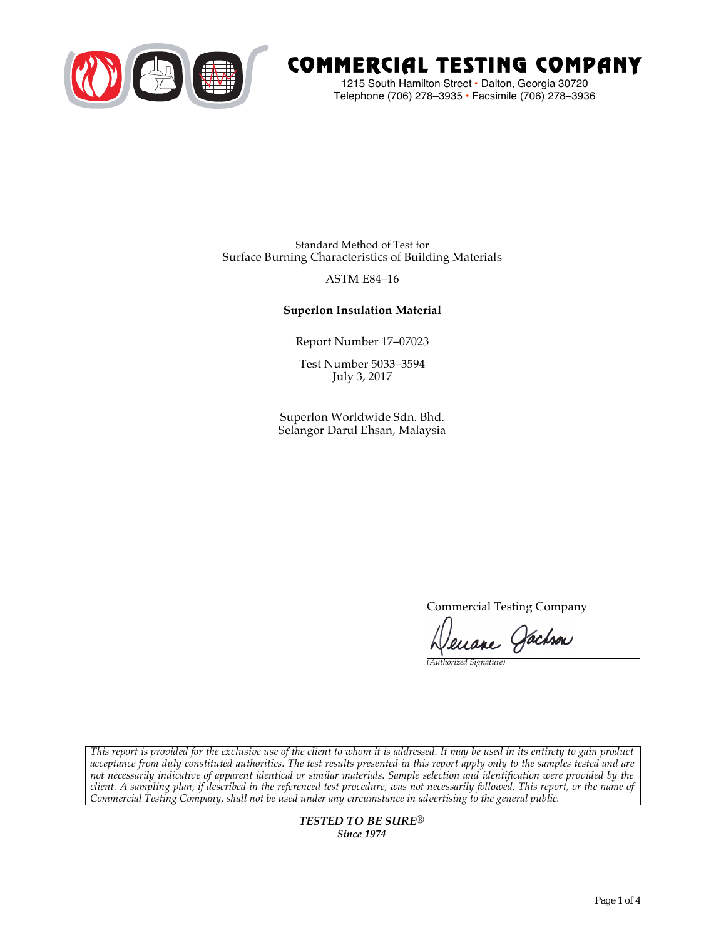

# COMMERCIAL TESTING COMPANY

1215 South Hamilton Street • Dalton, Georgia 30720 Telephone (706) 278–3935 **•** Facsimile (706) 278–3936

Standard Method of Test for Surface Burning Characteristics of Building Materials

# ASTM E84–16

# **Superlon Insulation Material**

Report Number 17–07023

Test Number 5033–3594 July 3, 2017

Superlon Worldwide Sdn. Bhd. Selangor Darul Ehsan, Malaysia

Commercial Testing Company

Lenane Jachson

*(Authorized Signature)* 

*This report is provided for the exclusive use of the client to whom it is addressed. It may be used in its entirety to gain product acceptance from duly constituted authorities. The test results presented in this report apply only to the samples tested and are not necessarily indicative of apparent identical or similar materials. Sample selection and identification were provided by the client. A sampling plan, if described in the referenced test procedure, was not necessarily followed. This report, or the name of Commercial Testing Company, shall not be used under any circumstance in advertising to the general public.* 

> *TESTED TO BE SURE® Since 1974*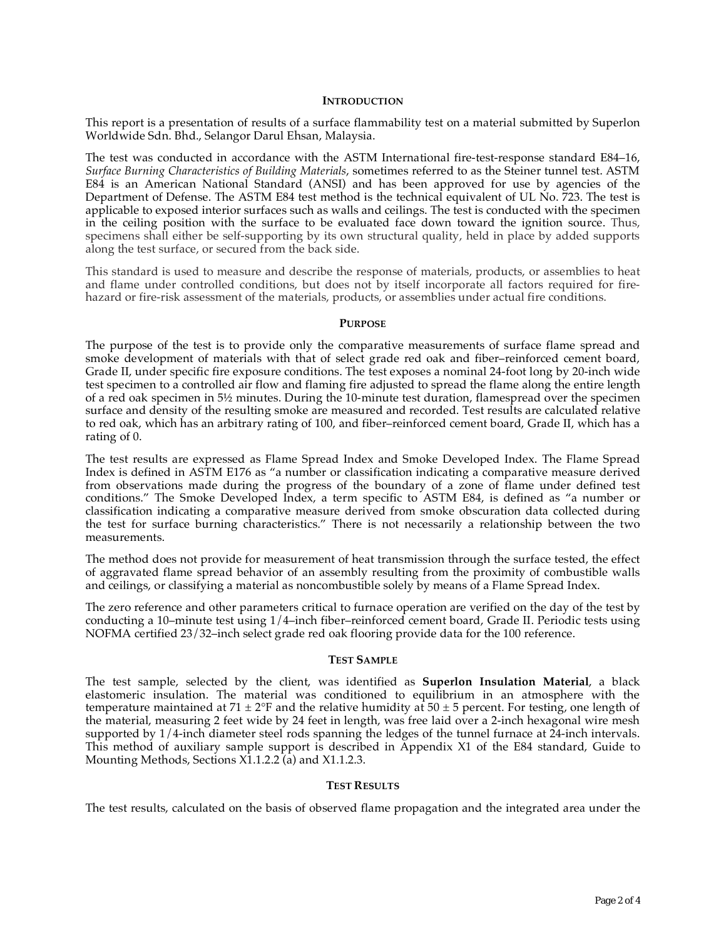## **INTRODUCTION**

This report is a presentation of results of a surface flammability test on a material submitted by Superlon Worldwide Sdn. Bhd., Selangor Darul Ehsan, Malaysia.

The test was conducted in accordance with the ASTM International fire-test-response standard E84–16, *Surface Burning Characteristics of Building Materials*, sometimes referred to as the Steiner tunnel test. ASTM E84 is an American National Standard (ANSI) and has been approved for use by agencies of the Department of Defense. The ASTM E84 test method is the technical equivalent of UL No. 723. The test is applicable to exposed interior surfaces such as walls and ceilings. The test is conducted with the specimen in the ceiling position with the surface to be evaluated face down toward the ignition source. Thus, specimens shall either be self-supporting by its own structural quality, held in place by added supports along the test surface, or secured from the back side.

This standard is used to measure and describe the response of materials, products, or assemblies to heat and flame under controlled conditions, but does not by itself incorporate all factors required for firehazard or fire-risk assessment of the materials, products, or assemblies under actual fire conditions.

#### **PURPOSE**

The purpose of the test is to provide only the comparative measurements of surface flame spread and smoke development of materials with that of select grade red oak and fiber–reinforced cement board, Grade II, under specific fire exposure conditions. The test exposes a nominal 24-foot long by 20-inch wide test specimen to a controlled air flow and flaming fire adjusted to spread the flame along the entire length of a red oak specimen in 5½ minutes. During the 10-minute test duration, flamespread over the specimen surface and density of the resulting smoke are measured and recorded. Test results are calculated relative to red oak, which has an arbitrary rating of 100, and fiber–reinforced cement board, Grade II, which has a rating of 0.

The test results are expressed as Flame Spread Index and Smoke Developed Index. The Flame Spread Index is defined in ASTM E176 as "a number or classification indicating a comparative measure derived from observations made during the progress of the boundary of a zone of flame under defined test conditions." The Smoke Developed Index, a term specific to ASTM E84, is defined as "a number or classification indicating a comparative measure derived from smoke obscuration data collected during the test for surface burning characteristics." There is not necessarily a relationship between the two measurements.

The method does not provide for measurement of heat transmission through the surface tested, the effect of aggravated flame spread behavior of an assembly resulting from the proximity of combustible walls and ceilings, or classifying a material as noncombustible solely by means of a Flame Spread Index.

The zero reference and other parameters critical to furnace operation are verified on the day of the test by conducting a 10–minute test using 1/4–inch fiber–reinforced cement board, Grade II. Periodic tests using NOFMA certified 23/32–inch select grade red oak flooring provide data for the 100 reference.

#### **TEST SAMPLE**

The test sample, selected by the client, was identified as **Superlon Insulation Material**, a black elastomeric insulation. The material was conditioned to equilibrium in an atmosphere with the temperature maintained at 71  $\pm$  2°F and the relative humidity at 50  $\pm$  5 percent. For testing, one length of the material, measuring 2 feet wide by 24 feet in length, was free laid over a 2-inch hexagonal wire mesh supported by 1/4-inch diameter steel rods spanning the ledges of the tunnel furnace at 24-inch intervals. This method of auxiliary sample support is described in Appendix X1 of the E84 standard, Guide to Mounting Methods, Sections X1.1.2.2 (a) and X1.1.2.3.

## **TEST RESULTS**

The test results, calculated on the basis of observed flame propagation and the integrated area under the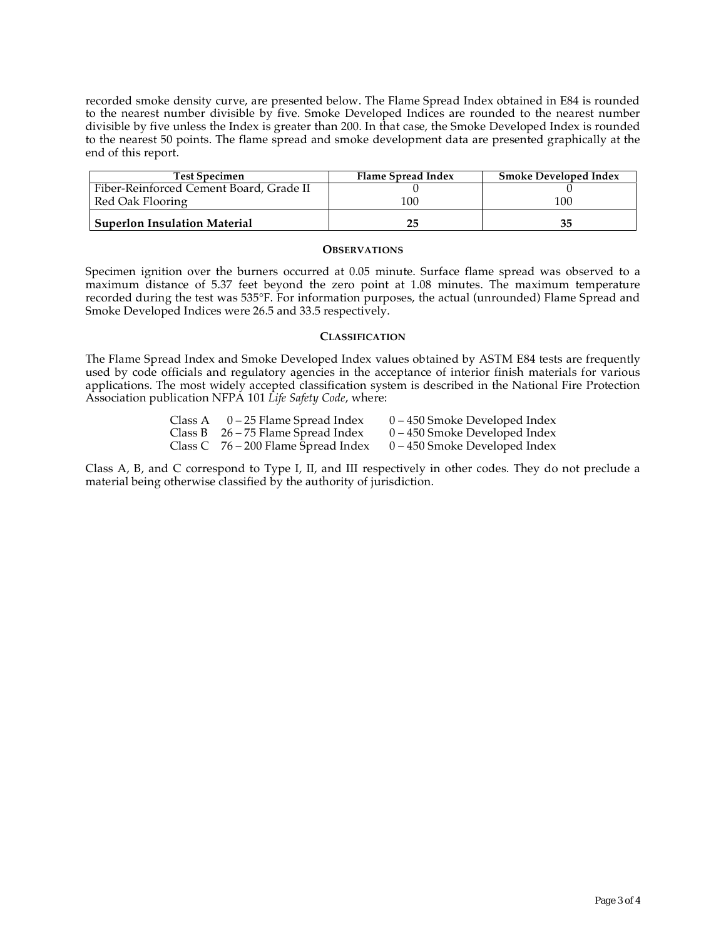recorded smoke density curve, are presented below. The Flame Spread Index obtained in E84 is rounded to the nearest number divisible by five. Smoke Developed Indices are rounded to the nearest number divisible by five unless the Index is greater than 200. In that case, the Smoke Developed Index is rounded to the nearest 50 points. The flame spread and smoke development data are presented graphically at the end of this report.

| <b>Test Specimen</b>                    | Flame Spread Index | <b>Smoke Developed Index</b> |
|-----------------------------------------|--------------------|------------------------------|
| Fiber-Reinforced Cement Board, Grade II |                    |                              |
| Red Oak Flooring                        | 100                | 100                          |
| <b>Superlon Insulation Material</b>     | 25                 |                              |

#### **OBSERVATIONS**

Specimen ignition over the burners occurred at 0.05 minute. Surface flame spread was observed to a maximum distance of 5.37 feet beyond the zero point at 1.08 minutes. The maximum temperature recorded during the test was 535°F. For information purposes, the actual (unrounded) Flame Spread and Smoke Developed Indices were 26.5 and 33.5 respectively.

## **CLASSIFICATION**

The Flame Spread Index and Smoke Developed Index values obtained by ASTM E84 tests are frequently used by code officials and regulatory agencies in the acceptance of interior finish materials for various applications. The most widely accepted classification system is described in the National Fire Protection Association publication NFPA 101 *Life Safety Code*, where:

| Class A | 0 – 25 Flame Spread Index             | $0 - 450$ Smoke Developed Index |
|---------|---------------------------------------|---------------------------------|
|         | Class B $26 - 75$ Flame Spread Index  | $0 - 450$ Smoke Developed Index |
|         | Class C $76 - 200$ Flame Spread Index | $0 - 450$ Smoke Developed Index |

Class A, B, and C correspond to Type I, II, and III respectively in other codes. They do not preclude a material being otherwise classified by the authority of jurisdiction.